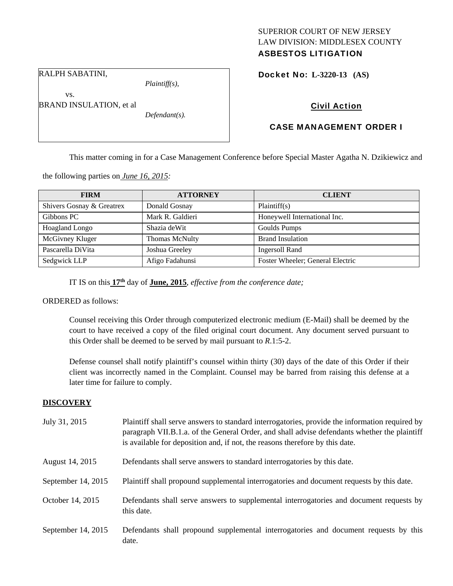## SUPERIOR COURT OF NEW JERSEY LAW DIVISION: MIDDLESEX COUNTY ASBESTOS LITIGATION

RALPH SABATINI,

BRAND INSULATION, et al

vs.

*Plaintiff(s),* 

*Defendant(s).* 

Docket No: **L-3220-13 (AS)** 

# Civil Action

# CASE MANAGEMENT ORDER I

This matter coming in for a Case Management Conference before Special Master Agatha N. Dzikiewicz and

the following parties on *June 16, 2015:* 

| <b>FIRM</b>               | <b>ATTORNEY</b>       | <b>CLIENT</b>                    |
|---------------------------|-----------------------|----------------------------------|
| Shivers Gosnay & Greatrex | Donald Gosnay         | Plaintiff(s)                     |
| Gibbons PC                | Mark R. Galdieri      | Honeywell International Inc.     |
| Hoagland Longo            | Shazia deWit          | Goulds Pumps                     |
| McGivney Kluger           | <b>Thomas McNulty</b> | <b>Brand Insulation</b>          |
| Pascarella DiVita         | Joshua Greeley        | <b>Ingersoll Rand</b>            |
| Sedgwick LLP              | Afigo Fadahunsi       | Foster Wheeler; General Electric |

IT IS on this **17th** day of **June, 2015**, *effective from the conference date;*

ORDERED as follows:

Counsel receiving this Order through computerized electronic medium (E-Mail) shall be deemed by the court to have received a copy of the filed original court document. Any document served pursuant to this Order shall be deemed to be served by mail pursuant to *R*.1:5-2.

Defense counsel shall notify plaintiff's counsel within thirty (30) days of the date of this Order if their client was incorrectly named in the Complaint. Counsel may be barred from raising this defense at a later time for failure to comply.

## **DISCOVERY**

| July 31, 2015        | Plaintiff shall serve answers to standard interrogatories, provide the information required by<br>paragraph VII.B.1.a. of the General Order, and shall advise defendants whether the plaintiff<br>is available for deposition and, if not, the reasons therefore by this date. |
|----------------------|--------------------------------------------------------------------------------------------------------------------------------------------------------------------------------------------------------------------------------------------------------------------------------|
| August 14, 2015      | Defendants shall serve answers to standard interrogatories by this date.                                                                                                                                                                                                       |
| September $14, 2015$ | Plaintiff shall propound supplemental interrogatories and document requests by this date.                                                                                                                                                                                      |
| October 14, 2015     | Defendants shall serve answers to supplemental interrogatories and document requests by<br>this date.                                                                                                                                                                          |
| September 14, 2015   | Defendants shall propound supplemental interrogatories and document requests by this<br>date.                                                                                                                                                                                  |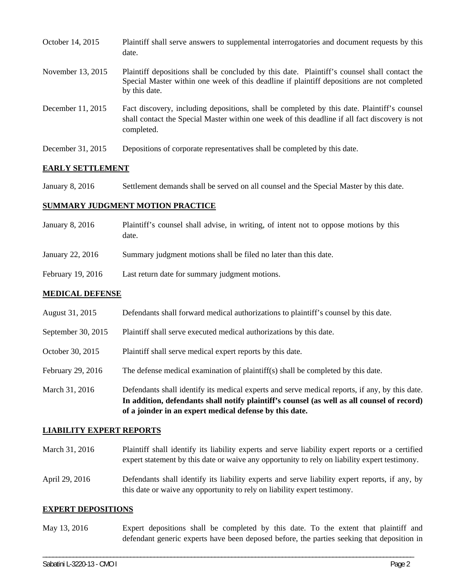| October 14, 2015  | Plaintiff shall serve answers to supplemental interrogatories and document requests by this<br>date.                                                                                                        |
|-------------------|-------------------------------------------------------------------------------------------------------------------------------------------------------------------------------------------------------------|
| November 13, 2015 | Plaintiff depositions shall be concluded by this date. Plaintiff's counsel shall contact the<br>Special Master within one week of this deadline if plaintiff depositions are not completed<br>by this date. |
| December 11, 2015 | Fact discovery, including depositions, shall be completed by this date. Plaintiff's counsel<br>shall contact the Special Master within one week of this deadline if all fact discovery is not<br>completed. |
| December 31, 2015 | Depositions of corporate representatives shall be completed by this date.                                                                                                                                   |

### **EARLY SETTLEMENT**

January 8, 2016 Settlement demands shall be served on all counsel and the Special Master by this date.

### **SUMMARY JUDGMENT MOTION PRACTICE**

- January 8, 2016 Plaintiff's counsel shall advise, in writing, of intent not to oppose motions by this date.
- January 22, 2016 Summary judgment motions shall be filed no later than this date.
- February 19, 2016 Last return date for summary judgment motions.

### **MEDICAL DEFENSE**

- August 31, 2015 Defendants shall forward medical authorizations to plaintiff's counsel by this date.
- September 30, 2015 Plaintiff shall serve executed medical authorizations by this date.
- October 30, 2015 Plaintiff shall serve medical expert reports by this date.
- February 29, 2016 The defense medical examination of plaintiff(s) shall be completed by this date.
- March 31, 2016 Defendants shall identify its medical experts and serve medical reports, if any, by this date. **In addition, defendants shall notify plaintiff's counsel (as well as all counsel of record) of a joinder in an expert medical defense by this date.**

### **LIABILITY EXPERT REPORTS**

- March 31, 2016 Plaintiff shall identify its liability experts and serve liability expert reports or a certified expert statement by this date or waive any opportunity to rely on liability expert testimony.
- April 29, 2016 Defendants shall identify its liability experts and serve liability expert reports, if any, by this date or waive any opportunity to rely on liability expert testimony.

### **EXPERT DEPOSITIONS**

May 13, 2016 Expert depositions shall be completed by this date. To the extent that plaintiff and defendant generic experts have been deposed before, the parties seeking that deposition in

\_\_\_\_\_\_\_\_\_\_\_\_\_\_\_\_\_\_\_\_\_\_\_\_\_\_\_\_\_\_\_\_\_\_\_\_\_\_\_\_\_\_\_\_\_\_\_\_\_\_\_\_\_\_\_\_\_\_\_\_\_\_\_\_\_\_\_\_\_\_\_\_\_\_\_\_\_\_\_\_\_\_\_\_\_\_\_\_\_\_\_\_\_\_\_\_\_\_\_\_\_\_\_\_\_\_\_\_\_\_